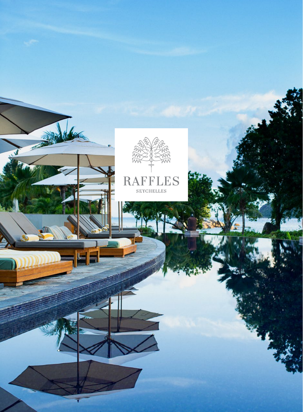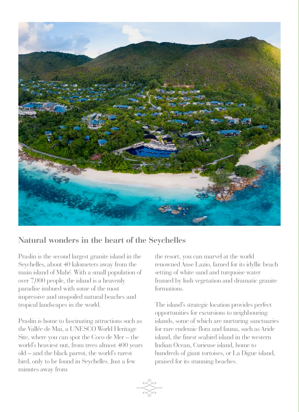

# **Natural wonders in the heart of the Seychelles**

Praslin is the second largest granite island in the Seychelles, about 40 kilometers away from the main island of Mahé. With a small population of over 7,000 people, the island is a heavenly paradise imbued with some of the most impressive and unspoiled natural beaches and tropical landscapes in the world.

Praslin is home to fascinating attractions such as the Vallée de Mai, a UNESCO World Heritage Site, where you can spot the Coco de Mer – the world's heaviest nut, from trees almost 400 years old – and the black parrot, the world's rarest bird, only to be found in Seychelles. Just a few minutes away from

the resort, you can marvel at the world renowned Anse Lazio, famed for its idyllic beach setting of white sand and turquoise water framed by lush vegetation and dramatic granite formations.

The island's strategic location provides perfect opportunities for excursions to neighbouring islands, some of which are nurturing sanctuaries for rare endemic flora and fauna, such as Aride island, the finest seabird island in the western Indian Ocean, Curieuse island, home to hundreds of giant tortoises, or La Digue island, praised for its stunning beaches.

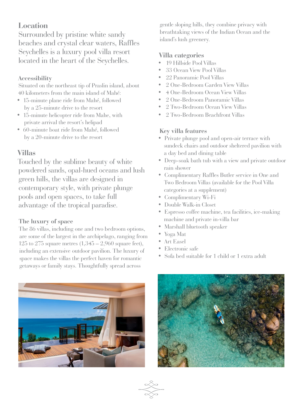# **Location**

Surrounded by pristine white sandy beaches and crystal clear waters, Raffles Seychelles is a luxury pool villa resort located in the heart of the Seychelles.

## **Accessibility**

Situated on the northeast tip of Praslin island, about 40 kilometers from the main island of Mahé:

- 15-minute plane ride from Mahé, followed by a 25-minute drive to the resort
- 15-minute helicopter ride from Mahe, with private arrival the resort's helipad
- 60-minute boat ride from Mahé, followed by a 20-minute drive to the resort

# **Villas**

Touched by the sublime beauty of white powdered sands, opal-hued oceans and lush green hills, the villas are designed in contemporary style, with private plunge pools and open spaces, to take full advantage of the tropical paradise.

# **The luxury of space**

The 86 villas, including one and two bedroom options, are some of the largest in the archipelago, ranging from 125 to 275 square metres  $(1,345 - 2,960)$  square feet), including an extensive outdoor pavilion. The luxury of space makes the villas the perfect haven for romantic getaways or family stays. Thoughtfully spread across

gentle sloping hills, they combine privacy with breathtaking views of the Indian Ocean and the island's lush greenery.

# **Villa categories**

- 19 Hillside Pool Villas
- 33 Ocean View Pool Villas
- 22 Panoramic Pool Villas
- 2 One-Bedroom Garden View Villas
- 4 One-Bedroom Ocean View Villas
- 2 One-Bedroom Panoramic Villas
- 2 Two-Bedroom Ocean View Villas
- 2 Two-Bedroom Beachfront Villas

# **Key villa features**

- Private plunge pool and open-air terrace with sundeck chairs and outdoor sheltered pavilion with a day bed and dining table
- Deep-soak bath tub with a view and private outdoor rain shower
- Complimentary Raffles Butler service in One and Two Bedroom Villas (available for the Pool Villa categories at a supplement)
- Complimentary Wi-Fi
- Double Walk-in Closet
- Espresso coffee machine, tea facilities, ice-making machine and private in-villa bar
- Marshall bluetooth speaker
- Yoga Mat
- Art Easel
- Electronic safe
- Sofa bed suitable for 1 child or 1 extra adult



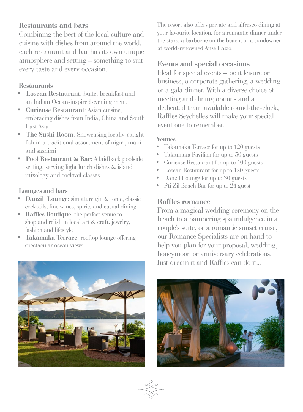# **Restaurants and bars**

Combining the best of the local culture and cuisine with dishes from around the world, each restaurant and bar has its own unique atmosphere and setting – something to suit every taste and every occasion.

## **Restaurants**

- **Losean Restaurant**: buffet breakfast and an Indian Ocean-inspired evening menu
- **Curieuse Restaurant**: Asian cuisine, embracing dishes from India, China and South East Asia
- **The Sushi Room**: Showcasing locally-caught fish in a traditional assortment of nigiri, maki and sashimi
- **Pool Restaurant & Bar**: A laidback poolside setting, serving light lunch dishes & island mixology and cocktail classes

### **Lounges and bars**

- **Danzil Lounge**: signature gin & tonic, classic cocktails, fine wines, spirits and casual dining
- **Raffles Boutique**: the perfect venue to shop and relish in local art & craft, jewelry, fashion and lifestyle
- **Takamaka Terrace**: rooftop lounge offering spectacular ocean views

The resort also offers private and alfresco dining at your favourite location, for a romantic dinner under the stars, a barbecue on the beach, or a sundowner at world-renowned Anse Lazio.

# **Events and special occasions**

Ideal for special events – be it leisure or business, a corporate gathering, a wedding or a gala dinner. With a diverse choice of meeting and dining options and a dedicated team available round-the-clock, Raffles Seychelles will make your special event one to remember.

## **Venues**

- Takamaka Terrace for up to 120 guests
- Takamaka Pavilion for up to 50 guests
- Curieuse Restaurant for up to 100 guests
- Losean Restaurant for up to 120 guests
- Danzil Lounge for up to 30 guests
- Pti Zil Beach Bar for up to 24 guest

## **Raffles romance**

From a magical wedding ceremony on the beach to a pampering spa indulgence in a couple's suite, or a romantic sunset cruise, our Romance Specialists are on hand to help you plan for your proposal, wedding, honeymoon or anniversary celebrations. Just dream it and Raffles can do it...



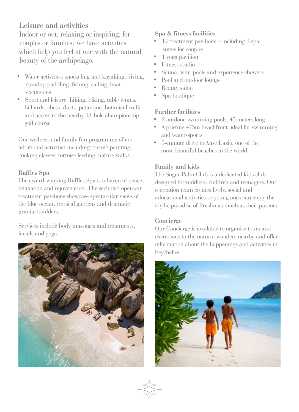# **Leisure and activities**

Indoor or out, relaxing or inspiring, for couples or families; we have activities which help you feel at one with the natural beauty of the archipelago.

- Water activities: snorkeling and kayaking, diving, standup paddling, fishing, sailing, boat excursions
- Sport and leisure: hiking, biking, table tennis, billiards, chess, darts, petanque, botanical walk and access to the nearby 18-hole championship golf course

Our wellness and family fun programme offers additional activities including: t-shirt painting, cooking classes, tortoise feeding, nature walks.

## **Raffles Spa**

The award-winning Raffles Spa is a haven of peace, relaxation and rejuvenation. The secluded open-air treatment pavilions showcase spectacular views of the blue ocean, tropical gardens and dramatic granite boulders.

Services include body massages and treatments, facials and yoga.



## **Spa & fitness facilities**

- 12 treatment pavilions including 2 spa suites for couples
- 1 yoga pavilion
- Fitness studio
- Sauna, whirlpools and experience showers
- Pool and outdoor lounge
- Beauty salon
- Spa boutique

## **Further facilities**

- 2 outdoor swimming pools, 45 meters long
- A pristine 475m beachfront, ideal for swimming and water-sports
- 5-minute drive to Anse Lazio, one of the most beautiful beaches in the world

## **Family and kids**

The Sugar Palm Club is a dedicated kids club designed for toddlers, children and teenagers. Our recreation team creates lively, social and educational activities so young ones can enjoy the idyllic paradise of Praslin as much as their parents.

### **Concierge**

Our Concierge is available to organise tours and excursions to the natural wonders nearby and offer information about the happenings and activities in Seychelles.